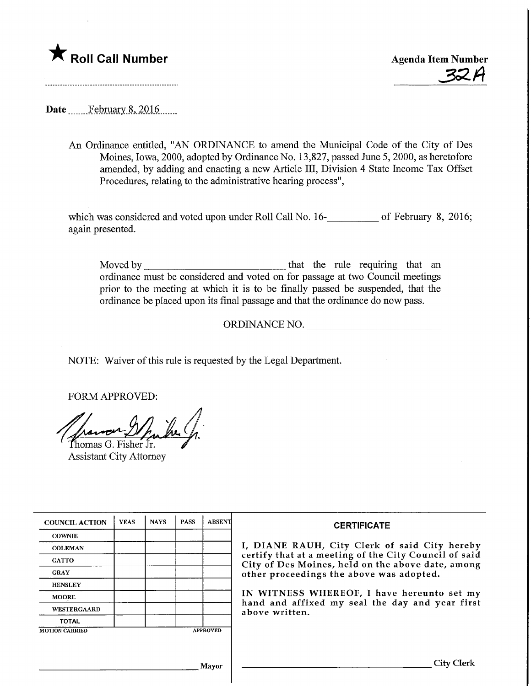# **The Roll Call Number Agents Container Agents Agents Agents Agents Agents Agents Agents Agents Agents Agents Agents Agents Agents Agents Agents Agents Agents Agents Agents Agents Agents Agents Agents Agents Agents Agents A**

33.A

Date February 8, 2016.

An Ordinance entitled, "AN ORDINANCE to amend the Municipal Code of the City of Des Moines, Iowa, 2000, adopted by Ordinance No. 13,827, passed June 5,2000, as heretofore amended, by addmg and enacting a new Article III, Division 4 State Income Tax Offset Procedures, relating to the administrative hearing process",

which was considered and voted upon under Roll Call No. 16-**\_\_\_\_\_\_\_\_\_** of February 8, 2016; again presented.

Moved by that the rule requiring that an ordinance must be considered and voted on for passage at two Council meetings prior to the meeting at which it is to be finally passed be suspended, that the ordinance be placed upon its final passage and that the ordinance do now pass.

ORDINANCE NO.

NOTE: Waiver of this rule is requested by the Legal Department.

FORM APPROVED:

-M^. Thomas G. Fisher Jr.

Assistant City Attorney

| <b>COUNCIL ACTION</b> | <b>YEAS</b> | <b>NAYS</b> | <b>PASS</b> | <b>ABSENT</b>   | <b>CERTIFICATE</b>                                                                                                                                                                                                                                                                                                         |
|-----------------------|-------------|-------------|-------------|-----------------|----------------------------------------------------------------------------------------------------------------------------------------------------------------------------------------------------------------------------------------------------------------------------------------------------------------------------|
| <b>COWNIE</b>         |             |             |             |                 | I, DIANE RAUH, City Clerk of said City hereby<br>certify that at a meeting of the City Council of said<br>City of Des Moines, held on the above date, among<br>other proceedings the above was adopted.<br>IN WITNESS WHEREOF, I have hereunto set my<br>hand and affixed my seal the day and year first<br>above written. |
| <b>COLEMAN</b>        |             |             |             |                 |                                                                                                                                                                                                                                                                                                                            |
| <b>GATTO</b>          |             |             |             |                 |                                                                                                                                                                                                                                                                                                                            |
| <b>GRAY</b>           |             |             |             |                 |                                                                                                                                                                                                                                                                                                                            |
| <b>HENSLEY</b>        |             |             |             |                 |                                                                                                                                                                                                                                                                                                                            |
| <b>MOORE</b>          |             |             |             |                 |                                                                                                                                                                                                                                                                                                                            |
| <b>WESTERGAARD</b>    |             |             |             |                 |                                                                                                                                                                                                                                                                                                                            |
| <b>TOTAL</b>          |             |             |             |                 |                                                                                                                                                                                                                                                                                                                            |
| <b>MOTION CARRIED</b> |             |             |             | <b>APPROVED</b> |                                                                                                                                                                                                                                                                                                                            |
|                       |             |             |             |                 |                                                                                                                                                                                                                                                                                                                            |
|                       |             |             |             | <b>Mayor</b>    | City Clerk                                                                                                                                                                                                                                                                                                                 |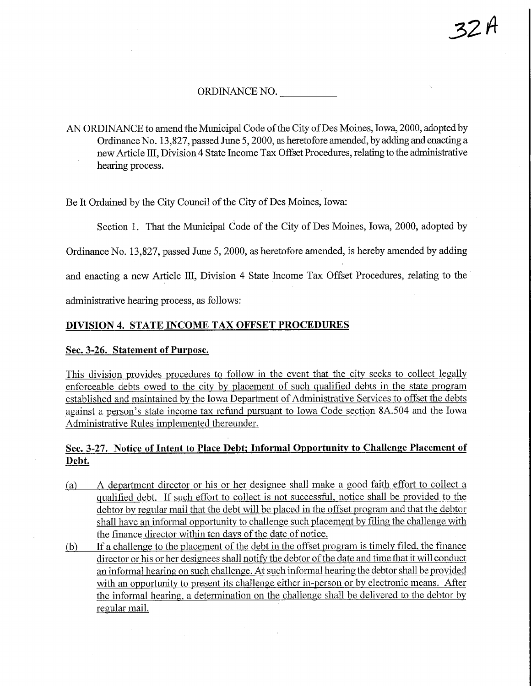# ORDINANCE NO.

AN ORDINANCE to amend the Municipal Code of the City of Des Moines, Iowa, 2000, adopted by Ordinance No. 13,827, passed June 5,2000, as heretofore amended, by adding and enacting a new Article HI, Division 4 State Income Tax Offset Procedures, relating to the administrative hearing process.

Be It Ordained by the City Council of the City of Des Moines, Iowa:

Section 1. That the Municipal Code of the City of Des Moines, Iowa, 2000, adopted by

Ordinance No. 13,827, passed June 5, 2000, as heretofore amended, is hereby amended by adding

and enacting a new Article HI, Division 4 State Income Tax Offset Procedures, relating to the

administrative hearing process, as follows:

## DIVISION 4. STATE INCOME TAX OFFSET PROCEDURES

#### Sec. 3-26. Statement of Purpose.

This division provides procedures to follow in the event that the city seeks to collect legally enforceable debts owed to the city by placement of such qualified debts in the state program established and maintained by the Iowa Department of Administrative Services to offset the debts against a person's state income tax refund pursuant to Iowa Code section 8A.504 and the Iowa Administrative Rules implemented thereunder.

# Sec. 3-27. Notice of Intent to Place Debt; Informal Opportunity to Challenge Placement of Debt,

- (a) A department director or his or her designee shall make a good faith effort to collect a qualified debt. If such effort to collect is not successful, notice shall be provided to the debtor bv regular mail that the debt will be placed in the offset program and that the debtor shall have an informal opportunity to challenge such placement by filing the challenge with the finance director within ten days of the date of notice.
- fb) If a challenge to the placement of the debt in the offset program is timely filed, the finance director or his or her designees shall notify the debtor of the date and time that it will conduct an informal hearing on such challenge. At such informal hearing the debtor shall be provided with an opportunity to present its challenge either in-person or by electronic means. After the informal hearing, a determination on the challenge shall be delivered to the debtor by regular mail.